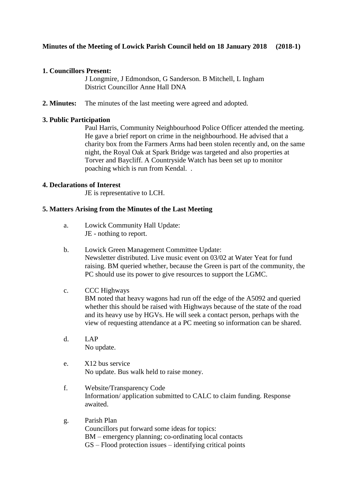## **1. Councillors Present:**

J Longmire, J Edmondson, G Sanderson. B Mitchell, L Ingham District Councillor Anne Hall DNA

**2. Minutes:** The minutes of the last meeting were agreed and adopted.

## **3. Public Participation**

Paul Harris, Community Neighbourhood Police Officer attended the meeting. He gave a brief report on crime in the neighbourhood. He advised that a charity box from the Farmers Arms had been stolen recently and, on the same night, the Royal Oak at Spark Bridge was targeted and also properties at Torver and Baycliff. A Countryside Watch has been set up to monitor poaching which is run from Kendal. .

## **4. Declarations of Interest**

JE is representative to LCH.

## **5. Matters Arising from the Minutes of the Last Meeting**

- a. Lowick Community Hall Update: JE - nothing to report.
- b. Lowick Green Management Committee Update: Newsletter distributed. Live music event on 03/02 at Water Yeat for fund raising. BM queried whether, because the Green is part of the community, the PC should use its power to give resources to support the LGMC.

## c. CCC Highways

BM noted that heavy wagons had run off the edge of the A5092 and queried whether this should be raised with Highways because of the state of the road and its heavy use by HGVs. He will seek a contact person, perhaps with the view of requesting attendance at a PC meeting so information can be shared.

- d. LAP No update.
- e. X12 bus service No update. Bus walk held to raise money.
- f. Website/Transparency Code Information/ application submitted to CALC to claim funding. Response awaited.
- g. Parish Plan Councillors put forward some ideas for topics: BM – emergency planning; co-ordinating local contacts GS – Flood protection issues – identifying critical points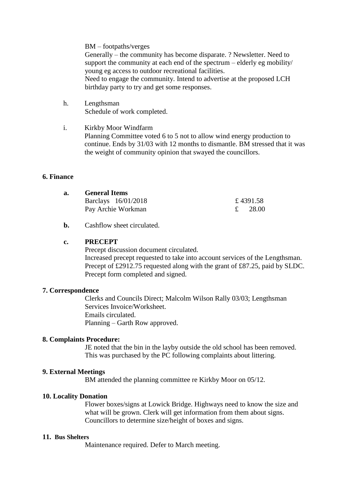BM – footpaths/verges

Generally – the community has become disparate. ? Newsletter. Need to support the community at each end of the spectrum – elderly eg mobility/ young eg access to outdoor recreational facilities. Need to engage the community. Intend to advertise at the proposed LCH birthday party to try and get some responses.

- h. Lengthsman Schedule of work completed.
- i. Kirkby Moor Windfarm Planning Committee voted 6 to 5 not to allow wind energy production to continue. Ends by 31/03 with 12 months to dismantle. BM stressed that it was the weight of community opinion that swayed the councillors.

### **6. Finance**

| а. | <b>General Items</b> |          |
|----|----------------------|----------|
|    | Barclays 16/01/2018  | £4391.58 |
|    | Pay Archie Workman   | - 28.00  |

**b.** Cashflow sheet circulated.

#### **c. PRECEPT**

Precept discussion document circulated. Increased precept requested to take into account services of the Lengthsman. Precept of £2912.75 requested along with the grant of £87.25, paid by SLDC. Precept form completed and signed.

#### **7. Correspondence**

Clerks and Councils Direct; Malcolm Wilson Rally 03/03; Lengthsman Services Invoice/Worksheet. Emails circulated. Planning – Garth Row approved.

#### **8. Complaints Procedure:**

JE noted that the bin in the layby outside the old school has been removed. This was purchased by the PC following complaints about littering.

#### **9. External Meetings**

BM attended the planning committee re Kirkby Moor on 05/12.

#### **10. Locality Donation**

Flower boxes/signs at Lowick Bridge. Highways need to know the size and what will be grown. Clerk will get information from them about signs. Councillors to determine size/height of boxes and signs.

#### **11. Bus Shelters**

Maintenance required. Defer to March meeting.